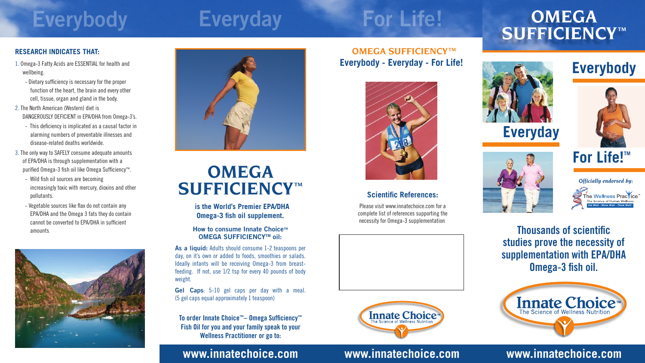# **Everyday For Life! OMEGA SUFFICIENCY TM**

## *Officially endorsed by:* The Wellness Practice **Eat Well - Move Well - Think Well**"

# **Everybody**







## **www.innatechoice.com**

**Thousands of scientific studies prove the necessity of supplementation with EPA/DHA Omega-3 fish oil.**



## **Everybody - Everyday - For Life! OMEGA SUFFICIENCYTM**



## **www.innatechoice.com www.innatechoice.com**

### **Scientific References:**

Please visit www.innatechoice.com for a complete list of references supporting the necessity for Omega-3 supplementation.





# **Everybody**

### **RESEARCH INDICATES THAT:**

- 1. Omega-3 Fatty Acids are ESSENTIAL for health and wellbeing.
	- Dietary sufficiency is necessary for the proper function of the heart, the brain and every other cell, tissue, organ and gland in the body.
- 2. The North American (Western) diet is DANGEROUSLY DEFICIENT in EPA/DHA from Omega-3's.
	- This deficiency is implicated as a causal factor in alarming numbers of preventable illnesses and disease-related deaths worldwide.
- 3. The only way to SAFELY consume adequate amounts of EPA/DHA is through supplementation with a purified Omega-3 fish oil like Omega Sufficiency™.
	- Wild fish oil sources are becoming increasingly toxic with mercury, dioxins and other pollutants.
	- Vegetable sources like flax do not contain any EPA/DHA and the Omega 3 fats they do contain cannot be converted to EPA/DHA in sufficient amounts.





# **OMEGA**  $\mathbf{SUFFICIENCY}^{T\mathsf{M}}$

**is the World's Premier EPA/DHA Omega-3 fish oil supplement.**

### **How to consume Innate Choice™ OMEGA SUFFICIENCY™ oil:**

**As a liquid:** Adults should consume 1-2 teaspoons per day, on it's own or added to foods, smoothies or salads. Ideally infants will be receiving Omega-3 from breastfeeding. If not, use 1/2 tsp for every 40 pounds of body weight.

**Gel Caps**: 5-10 gel caps per day with a meal. (5 gel caps equal approximately 1 teaspoon)

**To order Innate Choice™– Omega Sufficiency™ Fish Oil for you and your family speak to your Wellness Practitioner or go to:**